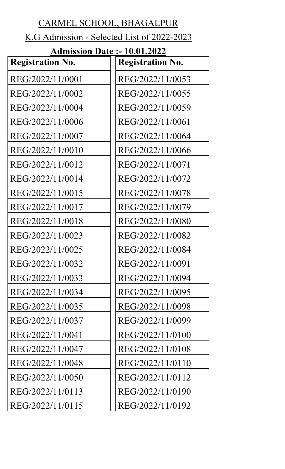# CARMEL SCHOOL, BHAGALPUR

## K.G Admission - Selected List of 2022-2023

| лишізэідіі Ракс         | 1 V.V1. <i>L</i> V <i>LL</i> |
|-------------------------|------------------------------|
| <b>Registration No.</b> | <b>Registration No.</b>      |
| REG/2022/11/0001        | REG/2022/11/0053             |
| REG/2022/11/0002        | REG/2022/11/0055             |
| REG/2022/11/0004        | REG/2022/11/0059             |
| REG/2022/11/0006        | REG/2022/11/0061             |
| REG/2022/11/0007        | REG/2022/11/0064             |
| REG/2022/11/0010        | REG/2022/11/0066             |
| REG/2022/11/0012        | REG/2022/11/0071             |
| REG/2022/11/0014        | REG/2022/11/0072             |
| REG/2022/11/0015        | REG/2022/11/0078             |
| REG/2022/11/0017        | REG/2022/11/0079             |
| REG/2022/11/0018        | REG/2022/11/0080             |
| REG/2022/11/0023        | REG/2022/11/0082             |
| REG/2022/11/0025        | REG/2022/11/0084             |
| REG/2022/11/0032        | REG/2022/11/0091             |
| REG/2022/11/0033        | REG/2022/11/0094             |
| REG/2022/11/0034        | REG/2022/11/0095             |
| REG/2022/11/0035        | REG/2022/11/0098             |
| REG/2022/11/0037        | REG/2022/11/0099             |
| REG/2022/11/0041        | REG/2022/11/0100             |
| REG/2022/11/0047        | REG/2022/11/0108             |
| REG/2022/11/0048        | REG/2022/11/0110             |
| REG/2022/11/0050        | REG/2022/11/0112             |
| REG/2022/11/0113        | REG/2022/11/0190             |
| REG/2022/11/0115        | REG/2022/11/0192             |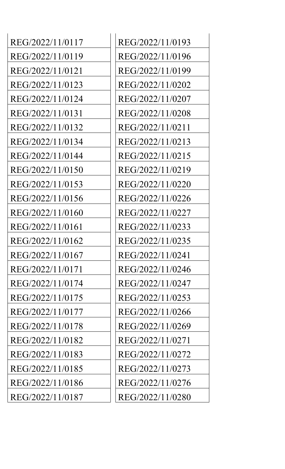| REG/2022/11/0117 | REG/2022/11/0193 |
|------------------|------------------|
| REG/2022/11/0119 | REG/2022/11/0196 |
| REG/2022/11/0121 | REG/2022/11/0199 |
| REG/2022/11/0123 | REG/2022/11/0202 |
| REG/2022/11/0124 | REG/2022/11/0207 |
| REG/2022/11/0131 | REG/2022/11/0208 |
| REG/2022/11/0132 | REG/2022/11/0211 |
| REG/2022/11/0134 | REG/2022/11/0213 |
| REG/2022/11/0144 | REG/2022/11/0215 |
| REG/2022/11/0150 | REG/2022/11/0219 |
| REG/2022/11/0153 | REG/2022/11/0220 |
| REG/2022/11/0156 | REG/2022/11/0226 |
| REG/2022/11/0160 | REG/2022/11/0227 |
| REG/2022/11/0161 | REG/2022/11/0233 |
| REG/2022/11/0162 | REG/2022/11/0235 |
| REG/2022/11/0167 | REG/2022/11/0241 |
| REG/2022/11/0171 | REG/2022/11/0246 |
| REG/2022/11/0174 | REG/2022/11/0247 |
| REG/2022/11/0175 | REG/2022/11/0253 |
| REG/2022/11/0177 | REG/2022/11/0266 |
| REG/2022/11/0178 | REG/2022/11/0269 |
| REG/2022/11/0182 | REG/2022/11/0271 |
| REG/2022/11/0183 | REG/2022/11/0272 |
| REG/2022/11/0185 | REG/2022/11/0273 |
| REG/2022/11/0186 | REG/2022/11/0276 |
| REG/2022/11/0187 | REG/2022/11/0280 |

| REG/2022/11/0193 |
|------------------|
| REG/2022/11/0196 |
| REG/2022/11/0199 |
| REG/2022/11/0202 |
| REG/2022/11/0207 |
| REG/2022/11/0208 |
| REG/2022/11/0211 |
| REG/2022/11/0213 |
| REG/2022/11/0215 |
| REG/2022/11/0219 |
| REG/2022/11/0220 |
| REG/2022/11/0226 |
| REG/2022/11/0227 |
| REG/2022/11/0233 |
| REG/2022/11/0235 |
| REG/2022/11/0241 |
| REG/2022/11/0246 |
| REG/2022/11/0247 |
| REG/2022/11/0253 |
| REG/2022/11/0266 |
| REG/2022/11/0269 |
| REG/2022/11/0271 |
| REG/2022/11/0272 |
| REG/2022/11/0273 |
| REG/2022/11/0276 |
| REG/2022/11/0280 |
|                  |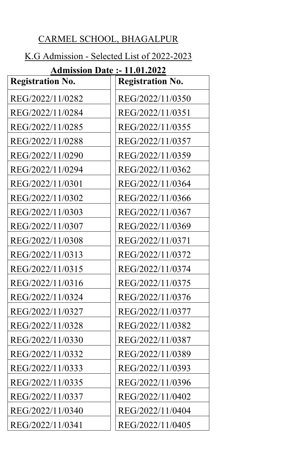### CARMEL SCHOOL, BHAGALPUR

## K.G Admission - Selected List of 2022-2023

| <b>Admission Date: - 11.01.2022</b> |                         |  |
|-------------------------------------|-------------------------|--|
| <b>Registration No.</b>             | <b>Registration No.</b> |  |
| REG/2022/11/0282                    | REG/2022/11/0350        |  |
| REG/2022/11/0284                    | REG/2022/11/0351        |  |
| REG/2022/11/0285                    | REG/2022/11/0355        |  |
| REG/2022/11/0288                    | REG/2022/11/0357        |  |
| REG/2022/11/0290                    | REG/2022/11/0359        |  |
| REG/2022/11/0294                    | REG/2022/11/0362        |  |
| REG/2022/11/0301                    | REG/2022/11/0364        |  |
| REG/2022/11/0302                    | REG/2022/11/0366        |  |
| REG/2022/11/0303                    | REG/2022/11/0367        |  |
| REG/2022/11/0307                    | REG/2022/11/0369        |  |
| REG/2022/11/0308                    | REG/2022/11/0371        |  |
| REG/2022/11/0313                    | REG/2022/11/0372        |  |
| REG/2022/11/0315                    | REG/2022/11/0374        |  |
| REG/2022/11/0316                    | REG/2022/11/0375        |  |
| REG/2022/11/0324                    | REG/2022/11/0376        |  |
| REG/2022/11/0327                    | REG/2022/11/0377        |  |
| REG/2022/11/0328                    | REG/2022/11/0382        |  |
| REG/2022/11/0330                    | REG/2022/11/0387        |  |
| REG/2022/11/0332                    | REG/2022/11/0389        |  |
| REG/2022/11/0333                    | REG/2022/11/0393        |  |
| REG/2022/11/0335                    | REG/2022/11/0396        |  |
| REG/2022/11/0337                    | REG/2022/11/0402        |  |
| REG/2022/11/0340                    | REG/2022/11/0404        |  |

 $\big|{\text{REG}}/2022/11/0341\big|{\text{REG}}/2022/11/0405$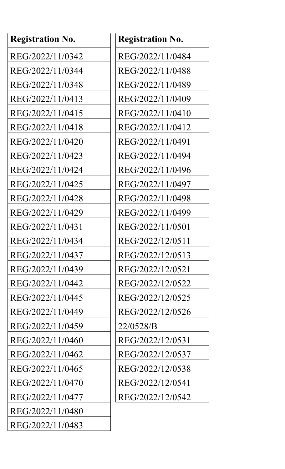| <b>Registration No.</b> | <b>Registration No.</b> |
|-------------------------|-------------------------|
| REG/2022/11/0342        | REG/2022/11/0484        |
| REG/2022/11/0344        | REG/2022/11/0488        |
| REG/2022/11/0348        | REG/2022/11/0489        |
| REG/2022/11/0413        | REG/2022/11/0409        |
| REG/2022/11/0415        | REG/2022/11/0410        |
| REG/2022/11/0418        | REG/2022/11/0412        |
| REG/2022/11/0420        | REG/2022/11/0491        |
| REG/2022/11/0423        | REG/2022/11/0494        |
| REG/2022/11/0424        | REG/2022/11/0496        |
| REG/2022/11/0425        | REG/2022/11/0497        |
| REG/2022/11/0428        | REG/2022/11/0498        |
| REG/2022/11/0429        | REG/2022/11/0499        |
| REG/2022/11/0431        | REG/2022/11/0501        |
| REG/2022/11/0434        | REG/2022/12/0511        |
| REG/2022/11/0437        | REG/2022/12/0513        |
| REG/2022/11/0439        | REG/2022/12/0521        |
| REG/2022/11/0442        | REG/2022/12/0522        |
| REG/2022/11/0445        | REG/2022/12/0525        |
| REG/2022/11/0449        | REG/2022/12/0526        |
| REG/2022/11/0459        | 22/0528/B               |
| REG/2022/11/0460        | REG/2022/12/0531        |
| REG/2022/11/0462        | REG/2022/12/0537        |
| REG/2022/11/0465        | REG/2022/12/0538        |
| REG/2022/11/0470        | REG/2022/12/0541        |
| REG/2022/11/0477        | REG/2022/12/0542        |
| REG/2022/11/0480        |                         |
| REG/2022/11/0483        |                         |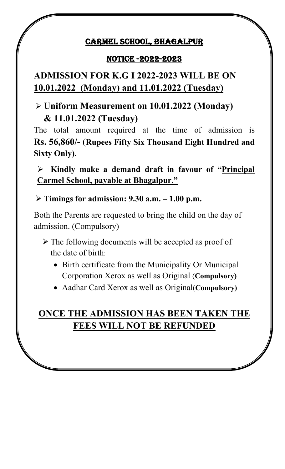#### CARMEL SCHOOL, BHAGALPUR

#### NOTICE -2022-2023

# **ADMISSION FOR K.G I 2022-2023 WILL BE ON 10.01.2022 (Monday) and 11.01.2022 (Tuesday)**

## Ø **Uniform Measurement on 10.01.2022 (Monday) & 11.01.2022 (Tuesday)**

The total amount required at the time of admission is **Rs. 56,860/-** (**Rupees Fifty Six Thousand Eight Hundred and Sixty Only).** 

Ø **Kindly make a demand draft in favour of "Principal Carmel School, payable at Bhagalpur."**

Ø **Timings for admission: 9.30 a.m. – 1.00 p.m.**

Both the Parents are requested to bring the child on the day of admission. (Compulsory)

- $\triangleright$  The following documents will be accepted as proof of the date of birth:
	- Birth certificate from the Municipality Or Municipal Corporation Xerox as well as Original (**Compulsory)**
	- Aadhar Card Xerox as well as Original(**Compulsory)**

## **ONCE THE ADMISSION HAS BEEN TAKEN THE FEES WILL NOT BE REFUNDED**

**Date: 09.01.2021 Principal**